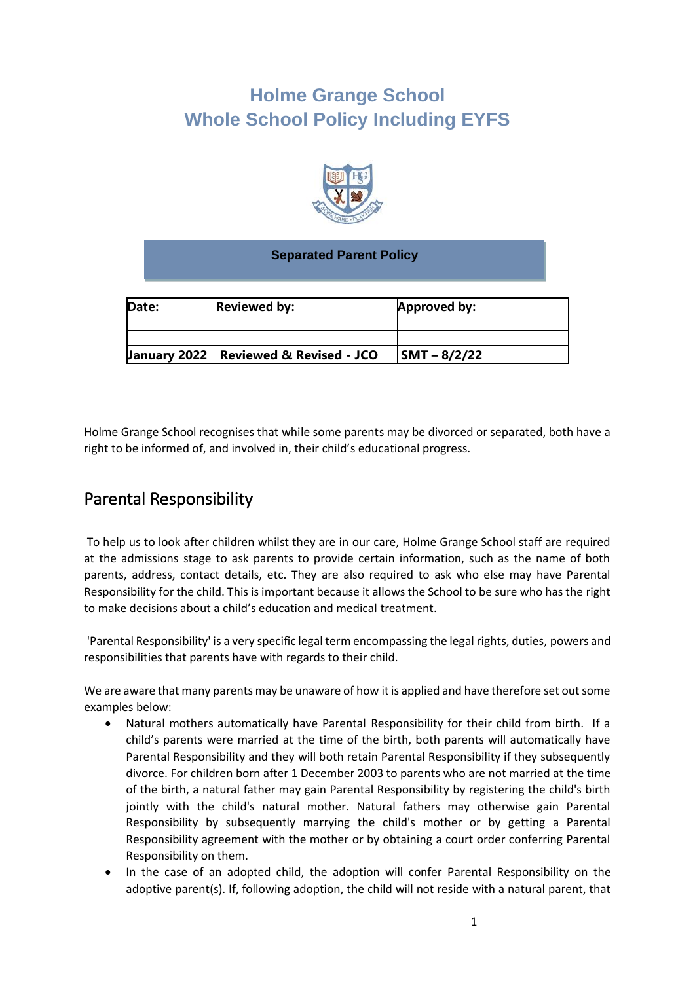# **Holme Grange School Whole School Policy Including EYFS**



#### **Separated Parent Policy**

| Date: | <b>Reviewed by:</b>                                | Approved by:   |
|-------|----------------------------------------------------|----------------|
|       |                                                    |                |
|       |                                                    |                |
|       | <b>January 2022   Reviewed &amp; Revised - JCO</b> | $SMT - 8/2/22$ |

Holme Grange School recognises that while some parents may be divorced or separated, both have a right to be informed of, and involved in, their child's educational progress.

### Parental Responsibility

To help us to look after children whilst they are in our care, Holme Grange School staff are required at the admissions stage to ask parents to provide certain information, such as the name of both parents, address, contact details, etc. They are also required to ask who else may have Parental Responsibility for the child. This is important because it allows the School to be sure who has the right to make decisions about a child's education and medical treatment.

'Parental Responsibility' is a very specific legal term encompassing the legal rights, duties, powers and responsibilities that parents have with regards to their child.

We are aware that many parents may be unaware of how it is applied and have therefore set out some examples below:

- Natural mothers automatically have Parental Responsibility for their child from birth. If a child's parents were married at the time of the birth, both parents will automatically have Parental Responsibility and they will both retain Parental Responsibility if they subsequently divorce. For children born after 1 December 2003 to parents who are not married at the time of the birth, a natural father may gain Parental Responsibility by registering the child's birth jointly with the child's natural mother. Natural fathers may otherwise gain Parental Responsibility by subsequently marrying the child's mother or by getting a Parental Responsibility agreement with the mother or by obtaining a court order conferring Parental Responsibility on them.
- In the case of an adopted child, the adoption will confer Parental Responsibility on the adoptive parent(s). If, following adoption, the child will not reside with a natural parent, that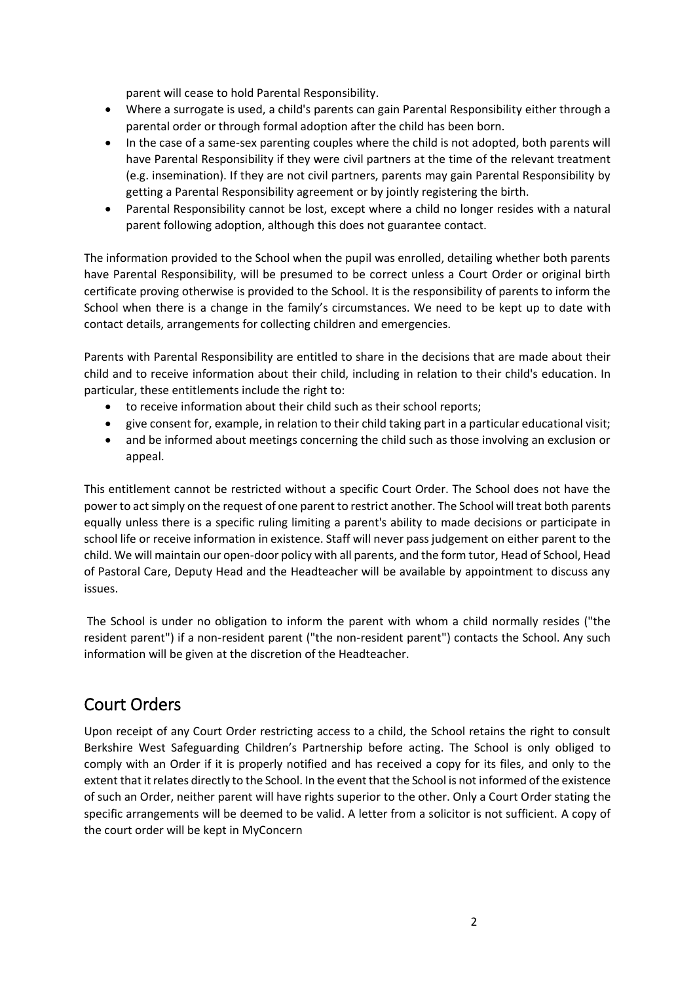parent will cease to hold Parental Responsibility.

- Where a surrogate is used, a child's parents can gain Parental Responsibility either through a parental order or through formal adoption after the child has been born.
- In the case of a same-sex parenting couples where the child is not adopted, both parents will have Parental Responsibility if they were civil partners at the time of the relevant treatment (e.g. insemination). If they are not civil partners, parents may gain Parental Responsibility by getting a Parental Responsibility agreement or by jointly registering the birth.
- Parental Responsibility cannot be lost, except where a child no longer resides with a natural parent following adoption, although this does not guarantee contact.

The information provided to the School when the pupil was enrolled, detailing whether both parents have Parental Responsibility, will be presumed to be correct unless a Court Order or original birth certificate proving otherwise is provided to the School. It is the responsibility of parents to inform the School when there is a change in the family's circumstances. We need to be kept up to date with contact details, arrangements for collecting children and emergencies.

Parents with Parental Responsibility are entitled to share in the decisions that are made about their child and to receive information about their child, including in relation to their child's education. In particular, these entitlements include the right to:

- to receive information about their child such as their school reports;
- give consent for, example, in relation to their child taking part in a particular educational visit;
- and be informed about meetings concerning the child such as those involving an exclusion or appeal.

This entitlement cannot be restricted without a specific Court Order. The School does not have the power to act simply on the request of one parent to restrict another. The School will treat both parents equally unless there is a specific ruling limiting a parent's ability to made decisions or participate in school life or receive information in existence. Staff will never pass judgement on either parent to the child. We will maintain our open-door policy with all parents, and the form tutor, Head of School, Head of Pastoral Care, Deputy Head and the Headteacher will be available by appointment to discuss any issues.

The School is under no obligation to inform the parent with whom a child normally resides ("the resident parent") if a non-resident parent ("the non-resident parent") contacts the School. Any such information will be given at the discretion of the Headteacher.

### Court Orders

Upon receipt of any Court Order restricting access to a child, the School retains the right to consult Berkshire West Safeguarding Children's Partnership before acting. The School is only obliged to comply with an Order if it is properly notified and has received a copy for its files, and only to the extent that it relates directly to the School. In the event that the School is not informed of the existence of such an Order, neither parent will have rights superior to the other. Only a Court Order stating the specific arrangements will be deemed to be valid. A letter from a solicitor is not sufficient. A copy of the court order will be kept in MyConcern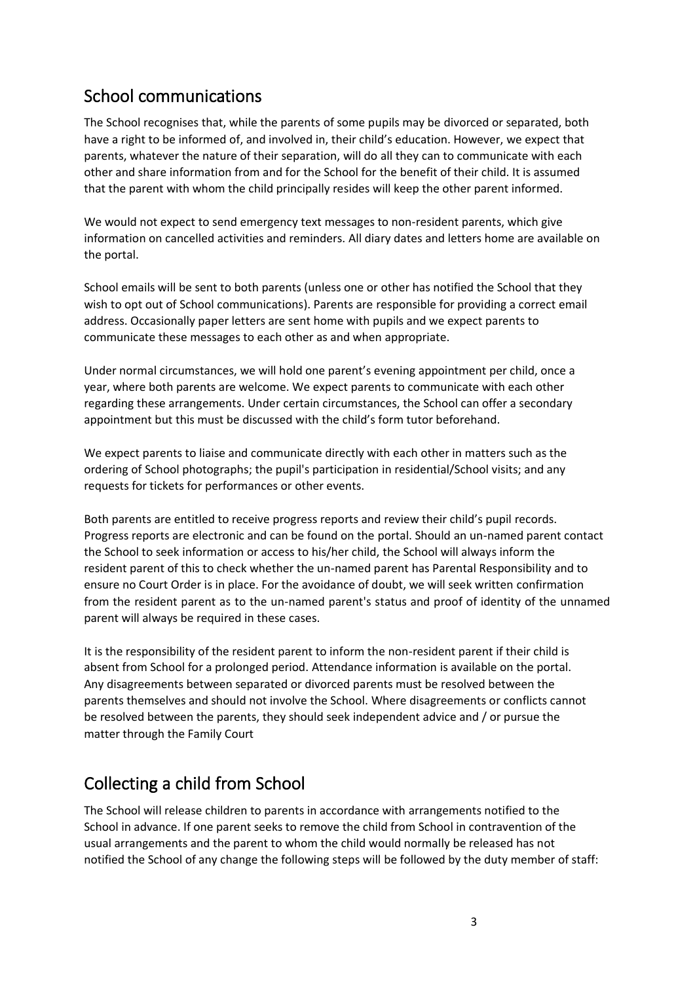## School communications

The School recognises that, while the parents of some pupils may be divorced or separated, both have a right to be informed of, and involved in, their child's education. However, we expect that parents, whatever the nature of their separation, will do all they can to communicate with each other and share information from and for the School for the benefit of their child. It is assumed that the parent with whom the child principally resides will keep the other parent informed.

We would not expect to send emergency text messages to non-resident parents, which give information on cancelled activities and reminders. All diary dates and letters home are available on the portal.

School emails will be sent to both parents (unless one or other has notified the School that they wish to opt out of School communications). Parents are responsible for providing a correct email address. Occasionally paper letters are sent home with pupils and we expect parents to communicate these messages to each other as and when appropriate.

Under normal circumstances, we will hold one parent's evening appointment per child, once a year, where both parents are welcome. We expect parents to communicate with each other regarding these arrangements. Under certain circumstances, the School can offer a secondary appointment but this must be discussed with the child's form tutor beforehand.

We expect parents to liaise and communicate directly with each other in matters such as the ordering of School photographs; the pupil's participation in residential/School visits; and any requests for tickets for performances or other events.

Both parents are entitled to receive progress reports and review their child's pupil records. Progress reports are electronic and can be found on the portal. Should an un-named parent contact the School to seek information or access to his/her child, the School will always inform the resident parent of this to check whether the un-named parent has Parental Responsibility and to ensure no Court Order is in place. For the avoidance of doubt, we will seek written confirmation from the resident parent as to the un-named parent's status and proof of identity of the unnamed parent will always be required in these cases.

It is the responsibility of the resident parent to inform the non-resident parent if their child is absent from School for a prolonged period. Attendance information is available on the portal. Any disagreements between separated or divorced parents must be resolved between the parents themselves and should not involve the School. Where disagreements or conflicts cannot be resolved between the parents, they should seek independent advice and / or pursue the matter through the Family Court

# Collecting a child from School

The School will release children to parents in accordance with arrangements notified to the School in advance. If one parent seeks to remove the child from School in contravention of the usual arrangements and the parent to whom the child would normally be released has not notified the School of any change the following steps will be followed by the duty member of staff: